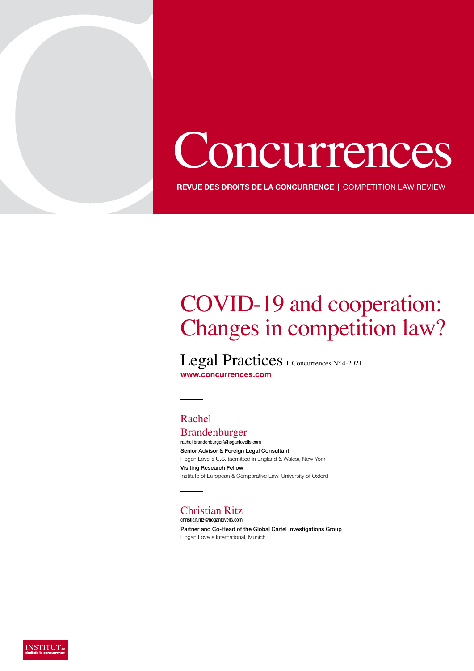# Concurrences

**REVUE DES DROITS DE LA CONCURRENCE** | COMPETITION LAW REVIEW

# COVID-19 and cooperation: Changes in competition law?

Legal Practices | Concurrences N° 4-2021 **www.concurrences.com**

### Rachel

Brandenburger rachel.brandenburger@hoganlovells.com Senior Advisor & Foreign Legal Consultant Hogan Lovells U.S. (admitted in England & Wales), New York Visiting Research Fellow Institute of European & Comparative Law, University of Oxford

### Christian Ritz

christian.ritz@hoganlovells.com Partner and Co-Head of the Global Cartel Investigations Group Hogan Lovells International, Munich

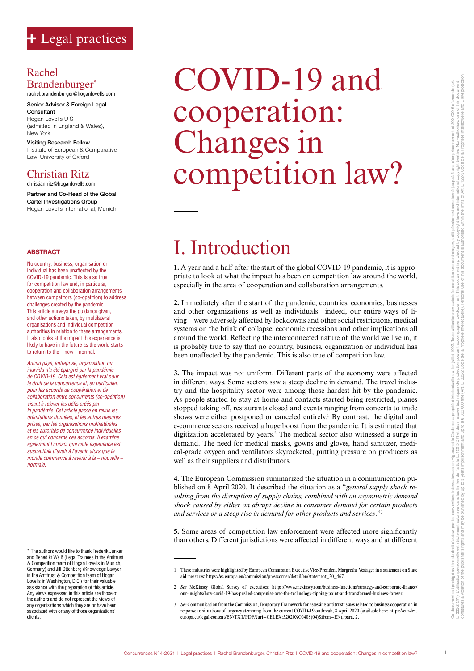### Rachel Brandenburger<sup>\*</sup>

rachel.brandenburger@hoganlovells.com

Senior Advisor & Foreign Legal Consultant Hogan Lovells U.S. (admitted in England & Wales), New York

Visiting Research Fellow Institute of European & Comparative Law, University of Oxford

### Christian Ritz

christian.ritz@hoganlovells.com

Partner and Co-Head of the Global Cartel Investigations Group Hogan Lovells International, Munich

#### **ABSTRACT**

No country, business, organisation or individual has been unaffected by the COVID-19 pandemic. This is also true for competition law and, in particular, cooperation and collaboration arrangements between competitors (co-opetition) to address challenges created by the pandemic. This article surveys the guidance given, and other actions taken, by multilateral organisations and individual competition authorities in relation to these arrangements. It also looks at the impact this experience is likely to have in the future as the world starts to return to the – new – normal.

*Aucun pays, entreprise, organisation ou individu n'a été épargné par la pandémie de COVID-19. Cela est également vrai pour le droit de la concurrence et, en particulier, pour les accords de coopération et de collaboration entre concurrents (co-opétition) visant à relever les défis créés par la pandémie. Cet article passe en revue les orientations données, et les autres mesures prises, par les organisations multilatérales et les autorités de concurrence individuelles en ce qui concerne ces accords. Il examine également l'impact que cette expérience est susceptible d'avoir à l'avenir, alors que le monde commence à revenir à la – nouvelle – normale.*

\* The authors would like to thank Frederik Junker and Benedikt Weiß (Legal Trainees in the Antitrust & Competition team of Hogan Lovells in Munich, Germany) and Jill Ottenberg (Knowledge Lawyer in the Antitrust & Competition team of Hogan Lovells in Washington, D.C.) for their valuable assistance with the preparation of this article. Any views expressed in this article are those of the authors and do not represent the views of any organizations which they are or have been associated with or any of those organizations' clients.

# COVID-19 and cooperation: Changes in competition law?

# I. Introduction

**1.** A year and a half after the start of the global COVID-19 pandemic, it is appropriate to look at what the impact has been on competition law around the world, especially in the area of cooperation and collaboration arrangements.

**2.** Immediately after the start of the pandemic, countries, economies, businesses and other organizations as well as individuals—indeed, our entire ways of living—were adversely affected by lockdowns and other social restrictions, medical systems on the brink of collapse, economic recessions and other implications all around the world. Reflecting the interconnected nature of the world we live in, it is probably true to say that no country, business, organization or individual has been unaffected by the pandemic. This is also true of competition law.

**3.** The impact was not uniform. Different parts of the economy were affected in different ways. Some sectors saw a steep decline in demand. The travel industry and the hospitality sector were among those hardest hit by the pandemic. As people started to stay at home and contacts started being restricted, planes stopped taking off, restaurants closed and events ranging from concerts to trade shows were either postponed or canceled entirely.<sup>1</sup> By contrast, the digital and e-commerce sectors received a huge boost from the pandemic. It is estimated that digitization accelerated by years.2 The medical sector also witnessed a surge in demand. The need for medical masks, gowns and gloves, hand sanitizer, medical-grade oxygen and ventilators skyrocketed, putting pressure on producers as well as their suppliers and distributors.

**4.** The European Commission summarized the situation in a communication published on 8 April 2020. It described the situation as a "*general supply shock resulting from the disruption of supply chains, combined with an asymmetric demand shock caused by either an abrupt decline in consumer demand for certain products and services or a steep rise in demand for other products and services*."3

**5.** Some areas of competition law enforcement were affected more significantly than others. Different jurisdictions were affected in different ways and at different

<sup>1</sup> These industries were highlighted by European Commission Executive Vice-President Margrethe Vestager in a statement on State aid measures: https://ec.europa.eu/commission/presscorner/detail/en/statement\_20\_467.

<sup>2</sup> *See* McKinsey Global Survey of executives: https://www.mckinsey.com/business-functions/strategy-and-corporate-finance/ our-insights/how-covid-19-has-pushed-companies-over-the-technology-tipping-point-and-transformed-business-forever.

<sup>3</sup> See Communication from the Commission, Temporary Framework for assessing antitrust issues related to business cooperation in response to situations of urgency stemming from the current COVID-19 outbreak, 8 April 2020 (av europa.eu/legal-content/EN/TXT/PDF/?uri=CELEX:52020XC0408(04)&from=EN), para. 2.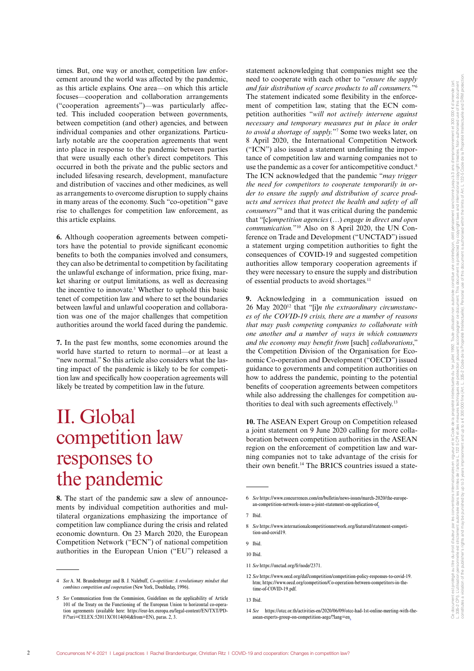times. But, one way or another, competition law enforcement around the world was affected by the pandemic, as this article explains. One area—on which this article focuses—cooperation and collaboration arrangements ("cooperation agreements")—was particularly affected. This included cooperation between governments, between competition (and other) agencies, and between individual companies and other organizations. Particularly notable are the cooperation agreements that went into place in response to the pandemic between parties that were usually each other's direct competitors. This occurred in both the private and the public sectors and included lifesaving research, development, manufacture and distribution of vaccines and other medicines, as well as arrangements to overcome disruption to supply chains in many areas of the economy. Such "co-opetition"4 gave rise to challenges for competition law enforcement, as this article explains.

**6.** Although cooperation agreements between competitors have the potential to provide significant economic benefits to both the companies involved and consumers, they can also be detrimental to competition by facilitating the unlawful exchange of information, price fixing, market sharing or output limitations, as well as decreasing the incentive to innovate.<sup>5</sup> Whether to uphold this basic tenet of competition law and where to set the boundaries between lawful and unlawful cooperation and collaboration was one of the major challenges that competition authorities around the world faced during the pandemic.

**7.** In the past few months, some economies around the world have started to return to normal—or at least a "new normal." So this article also considers what the lasting impact of the pandemic is likely to be for competition law and specifically how cooperation agreements will likely be treated by competition law in the future.

# II. Global competition law responses to the pandemic

**8.** The start of the pandemic saw a slew of announcements by individual competition authorities and multilateral organizations emphasizing the importance of competition law compliance during the crisis and related economic downturn. On 23 March 2020, the European Competition Network ("ECN") of national competition authorities in the European Union ("EU") released a

statement acknowledging that companies might see the need to cooperate with each other to "*ensure the supply and fair distribution of scarce products to all consumers.*"6 The statement indicated some flexibility in the enforcement of competition law, stating that the ECN competition authorities "*will not actively intervene against necessary and temporary measures put in place in order to avoid a shortage of supply.*"7 Some two weeks later, on 8 April 2020, the International Competition Network ("ICN") also issued a statement underlining the importance of competition law and warning companies not to use the pandemic as a cover for anticompetitive conduct.<sup>8</sup> The ICN acknowledged that the pandemic "*may trigger the need for competitors to cooperate temporarily in order to ensure the supply and distribution of scarce products and services that protect the health and safety of all consumers*"9 and that it was critical during the pandemic that "[c]*ompetition agencies* (…) *engage in direct and open communication.*"10 Also on 8 April 2020, the UN Conference on Trade and Development ("UNCTAD") issued a statement urging competition authorities to fight the consequences of COVID-19 and suggested competition authorities allow temporary cooperation agreements if they were necessary to ensure the supply and distribution of essential products to avoid shortages.11

**9.** Acknowledging in a communication issued on 26 May 202012 that "[i]*n the extraordinary circumstances of the COVID-19 crisis, there are a number of reasons that may push competing companies to collaborate with one another and a number of ways in which consumers and the economy may benefit from* [such] *collaborations*," the Competition Division of the Organisation for Economic Co-operation and Development ("OECD") issued guidance to governments and competition authorities on how to address the pandemic, pointing to the potential benefits of cooperation agreements between competitors while also addressing the challenges for competition authorities to deal with such agreements effectively.13

**10.** The ASEAN Expert Group on Competition released a joint statement on 9 June 2020 calling for more collaboration between competition authorities in the ASEAN region on the enforcement of competition law and warning companies not to take advantage of the crisis for their own benefit.<sup>14</sup> The BRICS countries issued a state-

<sup>4</sup> *See* A. M. Brandenburger and B. J. Nalebuff, *Co-opetition: A revolutionary mindset that combines competition and cooperation* (New York, Doubleday, 1996).

<sup>5</sup> *See* Communication from the Commission, Guidelines on the applicability of Article 101 of the Treaty on the Functioning of the European Union to horizontal co-operation agreements (available here: https://eur-lex.europa.eu/legal-content/EN/TXT/PD-F/?uri=CELEX:52011XC0114(04)&from=EN), paras. 2, 3.

<sup>6</sup> *See* https://www.concurrences.com/en/bulletin/news-issues/march-2020/the-european-competition-network-issues-a-joint-statement-on-application-of.

<sup>7</sup> Ibid.

<sup>8</sup> *See* https://www.internationalcompetitionnetwork.org/featured/statement-competition-and-covid19.

<sup>9</sup> Ibid.

<sup>10</sup> Ibid.

<sup>11</sup> *See* https://unctad.org/fr/node/2371.

<sup>12</sup> *See* https://www.oecd.org/daf/competition/competition-policy-responses-to-covid-19. htm; https://www.oecd.org/competition/Co-operation-between-competitors-in-thetime-of-COVID-19.pdf.

<sup>13</sup> Ibid.

<sup>14</sup> *See* https://otcc.or.th/activities-en/2020/06/09/otcc-had-1st-online-meeting-with-theasean-experts-group-on-competition-aegc/?lang=en.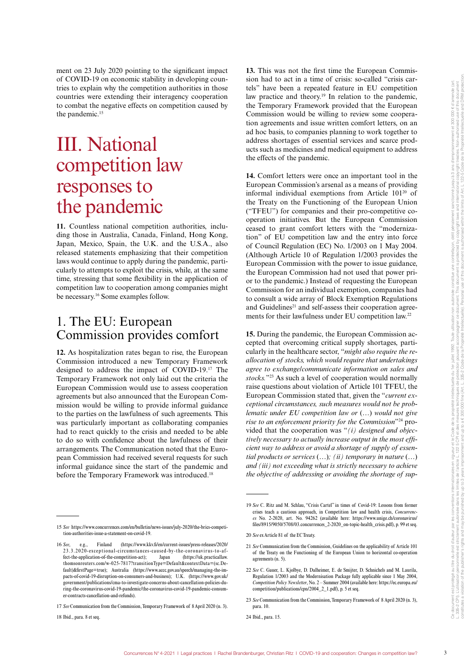ment on 23 July 2020 pointing to the significant impact of COVID-19 on economic stability in developing countries to explain why the competition authorities in those countries were extending their interagency cooperation to combat the negative effects on competition caused by the pandemic.<sup>15</sup>

# III. National competition law responses to the pandemic

**11.** Countless national competition authorities, including those in Australia, Canada, Finland, Hong Kong, Japan, Mexico, Spain, the U.K. and the U.S.A., also released statements emphasizing that their competition laws would continue to apply during the pandemic, particularly to attempts to exploit the crisis, while, at the same time, stressing that some flexibility in the application of competition law to cooperation among companies might be necessary.16 Some examples follow.

### 1. The EU: European Commission provides comfort

**12.** As hospitalization rates began to rise, the European Commission introduced a new Temporary Framework designed to address the impact of COVID-19.17 The Temporary Framework not only laid out the criteria the European Commission would use to assess cooperation agreements but also announced that the European Commission would be willing to provide informal guidance to the parties on the lawfulness of such agreements. This was particularly important as collaborating companies had to react quickly to the crisis and needed to be able to do so with confidence about the lawfulness of their arrangements. The Communication noted that the European Commission had received several requests for such informal guidance since the start of the pandemic and before the Temporary Framework was introduced.<sup>18</sup>

18 Ibid., para. 8 et seq.

**13.** This was not the first time the European Commission had to act in a time of crisis: so-called "crisis cartels" have been a repeated feature in EU competition law practice and theory.<sup>19</sup> In relation to the pandemic, the Temporary Framework provided that the European Commission would be willing to review some cooperation agreements and issue written comfort letters, on an ad hoc basis, to companies planning to work together to address shortages of essential services and scarce products such as medicines and medical equipment to address the effects of the pandemic.

**14.** Comfort letters were once an important tool in the European Commission's arsenal as a means of providing informal individual exemptions from Article 10120 of the Treaty on the Functioning of the European Union ("TFEU") for companies and their pro-competitive cooperation initiatives. But the European Commission ceased to grant comfort letters with the "modernization" of EU competition law and the entry into force of Council Regulation (EC) No. 1/2003 on 1 May 2004. (Although Article 10 of Regulation 1/2003 provides the European Commission with the power to issue guidance, the European Commission had not used that power prior to the pandemic.) Instead of requesting the European Commission for an individual exemption, companies had to consult a wide array of Block Exemption Regulations and Guidelines<sup>21</sup> and self-assess their cooperation agreements for their lawfulness under EU competition law.22

**15.** During the pandemic, the European Commission accepted that overcoming critical supply shortages, particularly in the healthcare sector, "*might also require the reallocation of stocks, which would require that undertakings agree to exchange/communicate information on sales and stocks.*"23 As such a level of cooperation would normally raise questions about violation of Article 101 TFEU, the European Commission stated that, given the "*current exceptional circumstances, such measures would not be problematic under EU competition law or* (…) *would not give rise to an enforcement priority for the Commission*"24 provided that the cooperation was "*(i) designed and objectively necessary to actually increase output in the most efficient way to address or avoid a shortage of supply of essential products or services* (…)*; (ii) temporary in nature* (…) *and (iii) not exceeding what is strictly necessary to achieve the objective of addressing or avoiding the shortage of sup-*

<sup>15</sup> *See* https://www.concurrences.com/en/bulletin/news-issues/july-2020/the-brics-competition-authorities-issue-a-statement-on-covid-19.

<sup>16</sup> *See*, e.g., Finland (https://www.kkv.fi/en/current-issues/press-releases/2020/ 23.3.2020-exceptional-circumstances-caused-by-the-coronavirus-to-affect-the-application-of-the-competition-act); Japan (https://uk.practicallaw. thomsonreuters.com/w-025-7817?transitionType=Default&contextData=(sc.Default)&firstPage=true); Australia (https://www.accc.gov.au/speech/managing-the-impacts-of-covid-19-disruption-on-consumers-and-business); U.K. (https://www.gov.uk/ government/publications/cma-to-investigate-concerns-about-cancellation-policies-during-the-coronavirus-covid-19-pandemic/the-coronavirus-covid-19-pandemic-consumer-contracts-cancellation-and-refunds).

<sup>17</sup> *See* Communication from the Commission, Temporary Framework of 8 April 2020 (n. 3).

<sup>19</sup> *See* C. Ritz and M. Schlau, "Crisis Cartel" in times of Covid-19: Lessons from former crises teach a cautious approach, in Competition law and health crisis, *Concurrences* No. 2-2020, art. No. 94262 (available here: https://www.unige.ch/coronavirus/ files/8915/9050/5708/03.concurrences\_2-2020\_on-topic-health\_crisis.pdf), p. 99 et seq.

<sup>20</sup> *See* ex Article 81 of the EC Treaty.

<sup>21</sup> *See* Communication from the Commission, Guidelines on the applicability of Article 101 of the Treaty on the Functioning of the European Union to horizontal co-operation agreements (n. 5).

<sup>22</sup> *See* C. Gauer, L. Kjolbye, D. Dalheimer, E. de Smijter, D. Schnichels and M. Laurila, Regulation 1/2003 and the Modernisation Package fully applicable since 1 May 2004, *Competition Policy Newsletter*, No. 2 – Summer 2004 (available here: https://ec.europa.eu/ competition/publications/cpn/2004\_2\_1.pdf), p. 5 et seq.

<sup>23</sup> *See* Communication from the Commission, Temporary Framework of 8 April 2020 (n. 3), para. 10.

<sup>24</sup> Ibid., para. 15.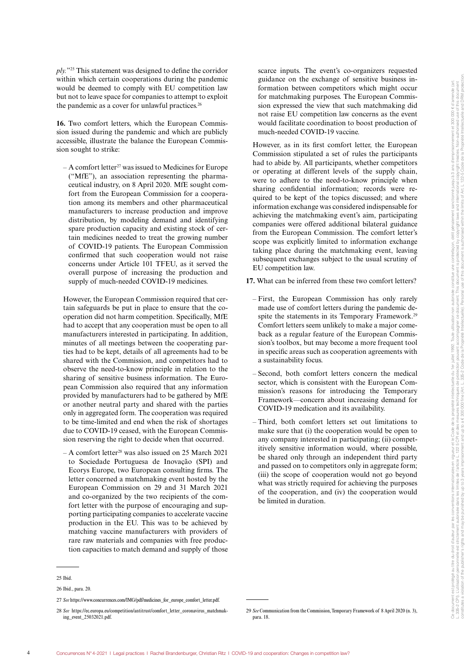*ply.*"25 This statement was designed to define the corridor within which certain cooperations during the pandemic would be deemed to comply with EU competition law but not to leave space for companies to attempt to exploit the pandemic as a cover for unlawful practices.<sup>26</sup>

**16.** Two comfort letters, which the European Commission issued during the pandemic and which are publicly accessible, illustrate the balance the European Commission sought to strike:

 $- A$  comfort letter<sup>27</sup> was issued to Medicines for Europe ("MfE"), an association representing the pharmaceutical industry, on 8 April 2020. MfE sought comfort from the European Commission for a cooperation among its members and other pharmaceutical manufacturers to increase production and improve distribution, by modeling demand and identifying spare production capacity and existing stock of certain medicines needed to treat the growing number of COVID-19 patients. The European Commission confirmed that such cooperation would not raise concerns under Article 101 TFEU, as it served the overall purpose of increasing the production and supply of much-needed COVID-19 medicines.

However, the European Commission required that certain safeguards be put in place to ensure that the cooperation did not harm competition. Specifically, MfE had to accept that any cooperation must be open to all manufacturers interested in participating. In addition, minutes of all meetings between the cooperating parties had to be kept, details of all agreements had to be shared with the Commission, and competitors had to observe the need-to-know principle in relation to the sharing of sensitive business information. The European Commission also required that any information provided by manufacturers had to be gathered by MfE or another neutral party and shared with the parties only in aggregated form. The cooperation was required to be time-limited and end when the risk of shortages due to COVID-19 ceased, with the European Commission reserving the right to decide when that occurred.

– A comfort letter28 was also issued on 25 March 2021 to Sociedade Portuguesa de Inovação (SPI) and Ecorys Europe, two European consulting firms. The letter concerned a matchmaking event hosted by the European Commission on 29 and 31 March 2021 and co-organized by the two recipients of the comfort letter with the purpose of encouraging and supporting participating companies to accelerate vaccine production in the EU. This was to be achieved by matching vaccine manufacturers with providers of rare raw materials and companies with free production capacities to match demand and supply of those

scarce inputs. The event's co-organizers requested guidance on the exchange of sensitive business information between competitors which might occur for matchmaking purposes. The European Commission expressed the view that such matchmaking did not raise EU competition law concerns as the event would facilitate coordination to boost production of much-needed COVID-19 vaccine.

However, as in its first comfort letter, the European Commission stipulated a set of rules the participants had to abide by. All participants, whether competitors or operating at different levels of the supply chain, were to adhere to the need-to-know principle when sharing confidential information; records were required to be kept of the topics discussed; and where information exchange was considered indispensable for achieving the matchmaking event's aim, participating companies were offered additional bilateral guidance from the European Commission. The comfort letter's scope was explicitly limited to information exchange taking place during the matchmaking event, leaving subsequent exchanges subject to the usual scrutiny of EU competition law.

**17.** What can be inferred from these two comfort letters?

- First, the European Commission has only rarely made use of comfort letters during the pandemic despite the statements in its Temporary Framework.<sup>29</sup> Comfort letters seem unlikely to make a major comeback as a regular feature of the European Commission's toolbox, but may become a more frequent tool in specific areas such as cooperation agreements with a sustainability focus.
- Second, both comfort letters concern the medical sector, which is consistent with the European Commission's reasons for introducing the Temporary Framework—concern about increasing demand for COVID-19 medication and its availability.
- Third, both comfort letters set out limitations to make sure that (i) the cooperation would be open to any company interested in participating; (ii) competitively sensitive information would, where possible, be shared only through an independent third party and passed on to competitors only in aggregate form; (iii) the scope of cooperation would not go beyond what was strictly required for achieving the purposes of the cooperation, and (iv) the cooperation would be limited in duration.

<sup>25</sup> Ibid.

<sup>26</sup> Ibid., para. 20.

<sup>27</sup> See https://www.concurrences.com/IMG/pdf/medicines\_for\_europe\_comfort\_letter.pdf.

<sup>28</sup> *See* https://ec.europa.eu/competition/antitrust/comfort\_letter\_coronavirus\_matchmaking\_event\_25032021.pdf.

<sup>29</sup> *See* Communication from the Commission, Temporary Framework of 8 April 2020 (n. 3), para. 18.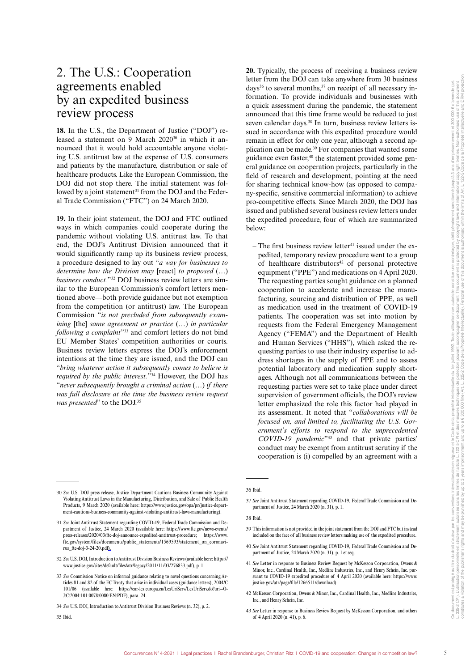### 2. The U.S.: Cooperation agreements enabled by an expedited business review process

**18.** In the U.S., the Department of Justice ("DOJ") released a statement on 9 March  $2020^{30}$  in which it announced that it would hold accountable anyone violating U.S. antitrust law at the expense of U.S. consumers and patients by the manufacture, distribution or sale of healthcare products. Like the European Commission, the DOJ did not stop there. The initial statement was followed by a joint statement<sup>31</sup> from the DOJ and the Federal Trade Commission ("FTC") on 24 March 2020.

**19.** In their joint statement, the DOJ and FTC outlined ways in which companies could cooperate during the pandemic without violating U.S. antitrust law. To that end, the DOJ's Antitrust Division announced that it would significantly ramp up its business review process, a procedure designed to lay out "*a way for businesses to determine how the Division may* [react] *to proposed* (…) *business conduct.*"32 DOJ business review letters are similar to the European Commission's comfort letters mentioned above—both provide guidance but not exemption from the competition (or antitrust) law. The European Commission "*is not precluded from subsequently examining* [the] *same agreement or practice* (…) *in particular following a complaint*"33 and comfort letters do not bind EU Member States' competition authorities or courts. Business review letters express the DOJ's enforcement intentions at the time they are issued, and the DOJ can "*bring whatever action it subsequently comes to believe is required by the public interest.*"34 However, the DOJ has "*never subsequently brought a criminal action* (…) *if there was full disclosure at the time the business review request was presented*" to the DOJ.35

**20.** Typically, the process of receiving a business review letter from the DOJ can take anywhere from 30 business days<sup>36</sup> to several months,  $37$  on receipt of all necessary information. To provide individuals and businesses with a quick assessment during the pandemic, the statement announced that this time frame would be reduced to just seven calendar days.<sup>38</sup> In turn, business review letters issued in accordance with this expedited procedure would remain in effect for only one year, although a second application can be made.39 For companies that wanted some guidance even faster,<sup>40</sup> the statement provided some general guidance on cooperation projects, particularly in the field of research and development, pointing at the need for sharing technical know-how (as opposed to company-specific, sensitive commercial information) to achieve pro-competitive effects. Since March 2020, the DOJ has issued and published several business review letters under the expedited procedure, four of which are summarized below:

 $-$  The first business review letter<sup>41</sup> issued under the expedited, temporary review procedure went to a group of healthcare distributors $42$  of personal protective equipment ("PPE") and medications on 4 April 2020. The requesting parties sought guidance on a planned cooperation to accelerate and increase the manufacturing, sourcing and distribution of PPE, as well as medication used in the treatment of COVID-19 patients. The cooperation was set into motion by requests from the Federal Emergency Management Agency ("FEMA") and the Department of Health and Human Services ("HHS"), which asked the requesting parties to use their industry expertise to address shortages in the supply of PPE and to assess potential laboratory and medication supply shortages. Although not all communications between the requesting parties were set to take place under direct supervision of government officials, the DOJ's review letter emphasized the role this factor had played in its assessment. It noted that "*collaborations will be focused on, and limited to, facilitating the U.S. Government's efforts to respond to the unprecedented COVID-19 pandemic*"43 and that private parties' conduct may be exempt from antitrust scrutiny if the cooperation is (i) compelled by an agreement with a

- 39 This information is not provided in the joint statement from the DOJ and FTC but instead included on the face of all business review letters making use of the expedited procedure.
- 40 *See* Joint Antitrust Statement regarding COVID-19, Federal Trade Commission and Department of Justice, 24 March 2020 (n. 31), p. 1 et seq.

- 42 McKesson Corporation, Owens & Minor, Inc., Cardinal Health, Inc., Medline Industries Inc., and Henry Schein, Inc.
- 43 *See* Letter in response to Business Review Request by McKesson Corporation, and others of 4 April 2020 (n. 41), p. 6.

<sup>30</sup> *See* U.S. DOJ press release, Justice Department Cautions Business Community Against Violating Antitrust Laws in the Manufacturing, Distribution, and Sale of Public Health Products, 9 March 2020 (available here: https://www.justice.gov/opa/pr/justice-department-cautions-business-community-against-violating-antitrust-laws-manufacturing).

<sup>31</sup> *See* Joint Antitrust Statement regarding COVID-19, Federal Trade Commission and Department of Justice, 24 March 2020 (available here: https://www.ftc.gov/news-events/ press-releases/2020/03/ftc-doj-announce-expedited-antitrust-procedure; https://www. ftc.gov/system/files/documents/public\_statements/1569593/statement\_on\_coronavirus\_ftc-doj-3-24-20.pdf).

<sup>32</sup> *See* U.S. DOJ, Introduction to Antitrust Division Business Reviews (available here: https:// www.justice.gov/sites/default/files/atr/legacy/2011/11/03/276833.pdf), p. 1.

<sup>33</sup> *See* Commission Notice on informal guidance relating to novel questions concerning Articles 81 and 82 of the EC Treaty that arise in individual cases (guidance letters), 2004/C 101/06 (available here: https://eur-lex.europa.eu/LexUriServ/LexUriServ.do?uri=O-J:C:2004:101:0078:0080:EN:PDF), para. 24.

<sup>34</sup> *See* U.S. DOJ, Introduction to Antitrust Division Business Reviews (n. 32), p. 2.

<sup>35</sup> Ibid.

<sup>36</sup> Ibid.

<sup>37</sup> *See* Joint Antitrust Statement regarding COVID-19, Federal Trade Commission and Department of Justice, 24 March 2020 (n. 31), p. 1.

<sup>38</sup> Ibid.

<sup>41</sup> *See* Letter in response to Business Review Request by McKesson Corporation, Owens & Minor, Inc., Cardinal Health, Inc., Medline Industries, Inc., and Henry Schein, Inc. pursuant to COVID-19 expedited procedure of 4 April 2020 (available here: https://www. justice.gov/atr/page/file/1266511/download).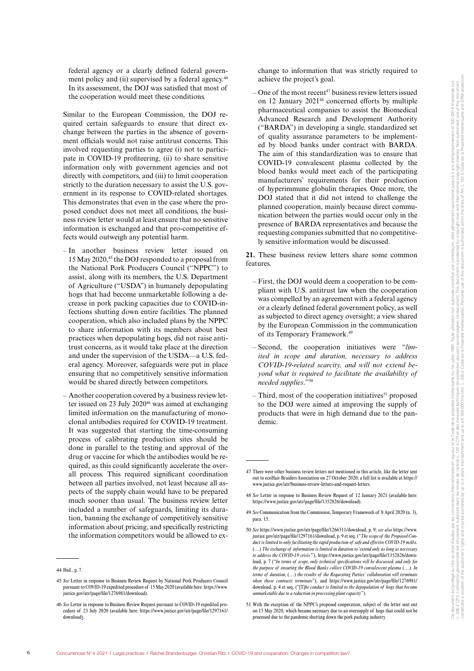federal agency or a clearly defined federal government policy and (ii) supervised by a federal agency.<sup>44</sup> In its assessment, the DOJ was satisfied that most of the cooperation would meet these conditions.

Similar to the European Commission, the DOJ required certain safeguards to ensure that direct exchange between the parties in the absence of government officials would not raise antitrust concerns. This involved requesting parties to agree (i) not to participate in COVID-19 profiteering, (ii) to share sensitive information only with government agencies and not directly with competitors, and (iii) to limit cooperation strictly to the duration necessary to assist the U.S. government in its response to COVID-related shortages. This demonstrates that even in the case where the proposed conduct does not meet all conditions, the business review letter would at least ensure that no sensitive information is exchanged and that pro-competitive effects would outweigh any potential harm.

- In another business review letter issued on 15 May 2020,45 the DOJ responded to a proposal from the National Pork Producers Council ("NPPC") to assist, along with its members, the U.S. Department of Agriculture ("USDA") in humanely depopulating hogs that had become unmarketable following a decrease in pork packing capacities due to COVID-infections shutting down entire facilities. The planned cooperation, which also included plans by the NPPC to share information with its members about best practices when depopulating hogs, did not raise antitrust concerns, as it would take place at the direction and under the supervision of the USDA—a U.S. federal agency. Moreover, safeguards were put in place ensuring that no competitively sensitive information would be shared directly between competitors.
- Another cooperation covered by a business review letter issued on 23 July 2020<sup>46</sup> was aimed at exchanging limited information on the manufacturing of monoclonal antibodies required for COVID-19 treatment. It was suggested that starting the time-consuming process of calibrating production sites should be done in parallel to the testing and approval of the drug or vaccine for which the antibodies would be required, as this could significantly accelerate the overall process. This required significant coordination between all parties involved, not least because all aspects of the supply chain would have to be prepared much sooner than usual. The business review letter included a number of safeguards, limiting its duration, banning the exchange of competitively sensitive information about pricing, and specifically restricting the information competitors would be allowed to ex-

change to information that was strictly required to achieve the project's goal.

– One of the most recent<sup>47</sup> business review letters issued on 12 January 202148 concerned efforts by multiple pharmaceutical companies to assist the Biomedical Advanced Research and Development Authority ("BARDA") in developing a single, standardized set of quality assurance parameters to be implemented by blood banks under contract with BARDA. The aim of this standardization was to ensure that COVID-19 convalescent plasma collected by the blood banks would meet each of the participating manufacturers' requirements for their production of hyperimmune globulin therapies. Once more, the DOJ stated that it did not intend to challenge the planned cooperation, mainly because direct communication between the parties would occur only in the presence of BARDA representatives and because the requesting companies submitted that no competitively sensitive information would be discussed.

**21.** These business review letters share some common features.

- First, the DOJ would deem a cooperation to be compliant with U.S. antitrust law when the cooperation was compelled by an agreement with a federal agency or a clearly defined federal government policy, as well as subjected to direct agency oversight; a view shared by the European Commission in the communication of its Temporary Framework.49
- Second, the cooperation initiatives were "*limited in scope and duration, necessary to address COVID-19-related scarcity, and will not extend beyond what is required to facilitate the availability of needed supplies*."50
- $-$  Third, most of the cooperation initiatives<sup>51</sup> proposed to the DOJ were aimed at improving the supply of products that were in high demand due to the pandemic.

<sup>44</sup> Ibid., p. 7.

<sup>45</sup> *See* Letter in response to Business Review Request by National Pork Producers Council pursuant to COVID-19 expedited procedure of 15 May 2020 (available here: https://www. justice.gov/atr/page/file/1276981/download).

<sup>46</sup> *See* Letter in response to Business Review Request pursuant to COVID-19 expedited procedure of 23 July 2020 (available here: https://www.justice.gov/atr/page/file/1297161/ download).

<sup>47</sup> There were other business review letters not mentioned in this article, like the letter sent out to ecoHair Braiders Association on 27 October 2020; a full list is available at https:// www.justice.gov/atr/business-review-letters-and-request-letters.

<sup>48</sup> *See* Letter in response to Business Review Request of 12 January 2021 (available here: https://www.justice.gov/atr/page/file/1352826/download).

<sup>49</sup> *See* Communication from the Commission, Temporary Framework of 8 April 2020 (n. 3), para. 15.

<sup>50</sup> *See* https://www.justice.gov/atr/page/file/1266511/download, p. 9; *see also* https://www. justice.gov/atr/page/file/1297161/download, p. 9 et seq. ("*The scope of the Proposed Conduct is limited to only facilitating the rapid production of safe and effective COVID-19 mAbs.* (…) *The exchange of information is limited in duration to 'extend only as long as necessary to address the COVID-19 crisis'*"), https://www.justice.gov/atr/page/file/1352826/download, p. 7 ("*In terms of scope, only technical specifications will be discussed, and only for the purpose of ensuring the Blood Banks collect COVID-19 convalescent plasma* (…)*. In terms of duration,* (…) *the results of the Requesting Parties' collaboration will terminate when those contracts terminate*"), and https://www.justice.gov/atr/page/file/1276981/ download, p. 4 et seq. ("[T]*he conduct is limited to the depopulation of hogs that become unmarketable due to a reduction in processing plant capacity*").

<sup>51</sup> With the exception of the NPPC's proposed cooperation, subject of the letter sent out on 15 May 2020, which became necessary due to an oversupply of hogs that could not be processed due to the pandemic shutting down the pork packing industry.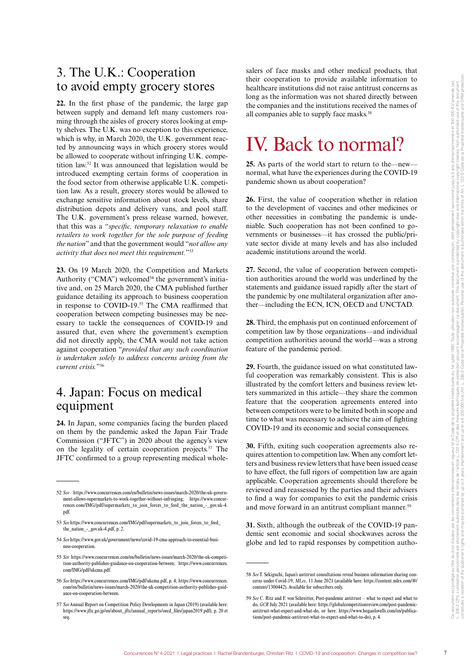### 3. The U.K.: Cooperation to avoid empty grocery stores

**22.** In the first phase of the pandemic, the large gap between supply and demand left many customers roaming through the aisles of grocery stores looking at empty shelves. The U.K. was no exception to this experience, which is why, in March 2020, the U.K. government reacted by announcing ways in which grocery stores would be allowed to cooperate without infringing U.K. competition law.52 It was announced that legislation would be introduced exempting certain forms of cooperation in the food sector from otherwise applicable U.K. competition law. As a result, grocery stores would be allowed to exchange sensitive information about stock levels, share distribution depots and delivery vans, and pool staff. The U.K. government's press release warned, however, that this was a "*specific, temporary relaxation to enable retailers to work together for the sole purpose of feeding the nation*" and that the government would "*not allow any activity that does not meet this requirement.*"53

**23.** On 19 March 2020, the Competition and Markets Authority ("CMA") welcomed<sup>54</sup> the government's initiative and, on 25 March 2020, the CMA published further guidance detailing its approach to business cooperation in response to COVID-19.55 The CMA reaffirmed that cooperation between competing businesses may be necessary to tackle the consequences of COVID-19 and assured that, even where the government's exemption did not directly apply, the CMA would not take action against cooperation "*provided that any such coordination is undertaken solely to address concerns arising from the current crisis.*"56

### 4. Japan: Focus on medical equipment

**24.** In Japan, some companies facing the burden placed on them by the pandemic asked the Japan Fair Trade Commission ("JFTC") in 2020 about the agency's view on the legality of certain cooperation projects.57 The JFTC confirmed to a group representing medical wholesalers of face masks and other medical products, that their cooperation to provide available information to healthcare institutions did not raise antitrust concerns as long as the information was not shared directly between the companies and the institutions received the names of all companies able to supply face masks.<sup>58</sup>

# IV. Back to normal?

**25.** As parts of the world start to return to the—new normal, what have the experiences during the COVID-19 pandemic shown us about cooperation?

**26.** First, the value of cooperation whether in relation to the development of vaccines and other medicines or other necessities in combating the pandemic is undeniable. Such cooperation has not been confined to governments or businesses—it has crossed the public/private sector divide at many levels and has also included academic institutions around the world.

**27.** Second, the value of cooperation between competition authorities around the world was underlined by the statements and guidance issued rapidly after the start of the pandemic by one multilateral organization after another—including the ECN, ICN, OECD and UNCTAD.

**28.** Third, the emphasis put on continued enforcement of competition law by those organizations—and individual competition authorities around the world—was a strong feature of the pandemic period.

**29.** Fourth, the guidance issued on what constituted lawful cooperation was remarkably consistent. This is also illustrated by the comfort letters and business review letters summarized in this article—they share the common feature that the cooperation agreements entered into between competitors were to be limited both in scope and time to what was necessary to achieve the aim of fighting COVID-19 and its economic and social consequences.

**30.** Fifth, exiting such cooperation agreements also requires attention to competition law. When any comfort letters and business review letters that have been issued cease to have effect, the full rigors of competition law are again applicable. Cooperation agreements should therefore be reviewed and reassessed by the parties and their advisers to find a way for companies to exit the pandemic crisis and move forward in an antitrust compliant manner.<sup>59</sup>

**31.** Sixth, although the outbreak of the COVID-19 pandemic sent economic and social shockwaves across the globe and led to rapid responses by competition autho-

<sup>52</sup> *See* https://www.concurrences.com/en/bulletin/news-issues/march-2020/the-uk-government-allows-supermarkets-to-work-together-without-infringing; https://www.concurrences.com/IMG/pdf/supermarkets\_to\_join\_forces\_to\_feed\_the\_nation\_-\_gov.uk-4. pdf.

<sup>53</sup> *See* https://www.concurrences.com/IMG/pdf/supermarkets\_to\_join\_forces\_to\_feed\_ the nation - gov.uk-4.pdf, p. 2.

<sup>54</sup> *See* https://www.gov.uk/government/news/covid-19-cma-approach-to-essential-business-cooperation.

<sup>55</sup> *See* https://www.concurrences.com/en/bulletin/news-issues/march-2020/the-uk-competition-authority-publishes-guidance-on-cooperation-between; https://www.concurrences. com/IMG/pdf/ukcma.pdf.

<sup>56</sup> *See* https://www.concurrences.com/IMG/pdf/ukcma.pdf, p. 4; https://www.concurrences. com/en/bulletin/news-issues/march-2020/the-uk-competition-authority-publishes-guidance-on-cooperation-between.

<sup>57</sup> *See* Annual Report on Competition Policy Developments in Japan (2019) (available here: https://www.jftc.go.jp/en/about\_jftc/annual\_reports/oecd\_files/japan2019.pdf), p. 20 et seq.

<sup>58</sup> *See* T. Sekiguchi, Japan's antitrust consultations reveal business information sharing concerns under Covid-19, *MLex*, 11 June 2021 (available here: https://content.mlex.com/#/ content/1300442). Available for subscribers only.

<sup>59</sup> *See* C. Ritz and F. von Schreitter, Post-pandemic antitrust – what to expect and what to do, *GCR* July 2021 (available here: https://globalcompetitionreview.com/post-pandemicantitrust-what-expect-and-what-do, or here: https://www.hoganlovells.com/en/publications/post-pandemic-antitrust-what-to-expect-and-what-to-do), p. 4.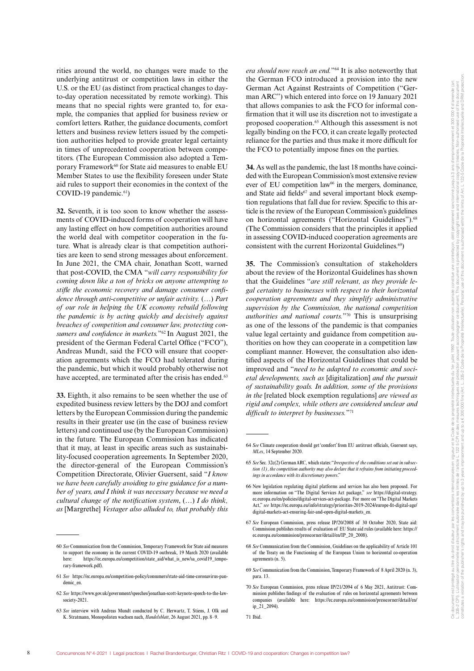rities around the world, no changes were made to the underlying antitrust or competition laws in either the U.S. or the EU (as distinct from practical changes to dayto-day operation necessitated by remote working). This means that no special rights were granted to, for example, the companies that applied for business review or comfort letters. Rather, the guidance documents, comfort letters and business review letters issued by the competition authorities helped to provide greater legal certainty in times of unprecedented cooperation between competitors. (The European Commission also adopted a Temporary Framework<sup>60</sup> for State aid measures to enable EU Member States to use the flexibility foreseen under State aid rules to support their economies in the context of the COVID-19 pandemic.<sup>61</sup>)

**32.** Seventh, it is too soon to know whether the assessments of COVID-induced forms of cooperation will have any lasting effect on how competition authorities around the world deal with competitor cooperation in the future. What is already clear is that competition authorities are keen to send strong messages about enforcement. In June 2021, the CMA chair, Jonathan Scott, warned that post-COVID, the CMA "*will carry responsibility for coming down like a ton of bricks on anyone attempting to stifle the economic recovery and damage consumer confidence through anti-competitive or unfair activity.* (…) *Part of our role in helping the UK economy rebuild following the pandemic is by acting quickly and decisively against breaches of competition and consumer law, protecting consumers and confidence in markets.*"62 In August 2021, the president of the German Federal Cartel Office ("FCO"), Andreas Mundt, said the FCO will ensure that cooperation agreements which the FCO had tolerated during the pandemic, but which it would probably otherwise not have accepted, are terminated after the crisis has ended.<sup>63</sup>

**33.** Eighth, it also remains to be seen whether the use of expedited business review letters by the DOJ and comfort letters by the European Commission during the pandemic results in their greater use (in the case of business review letters) and continued use (by the European Commission) in the future. The European Commission has indicated that it may, at least in specific areas such as sustainability-focused cooperation agreements. In September 2020, the director-general of the European Commission's Competition Directorate, Olivier Guersent, said "*I know we have been carefully avoiding to give guidance for a number of years, and I think it was necessary because we need a cultural change of the notification system*, (…) *I do think, as* [Margrethe] *Vestager also alluded to, that probably this*  *era should now reach an end.*"64 It is also noteworthy that the German FCO introduced a provision into the new German Act Against Restraints of Competition ("German ARC") which entered into force on 19 January 2021 that allows companies to ask the FCO for informal confirmation that it will use its discretion not to investigate a proposed cooperation.65 Although this assessment is not legally binding on the FCO, it can create legally protected reliance for the parties and thus make it more difficult for the FCO to potentially impose fines on the parties.

**34.** As well as the pandemic, the last 18 months have coincided with the European Commission's most extensive review ever of EU competition  $law<sup>66</sup>$  in the mergers, dominance, and State aid fields<sup>67</sup> and several important block exemption regulations that fall due for review. Specific to this article is the review of the European Commission's guidelines on horizontal agreements ("Horizontal Guidelines").<sup>68</sup> (The Commission considers that the principles it applied in assessing COVID-induced cooperation agreements are consistent with the current Horizontal Guidelines.<sup>69</sup>)

**35.** The Commission's consultation of stakeholders about the review of the Horizontal Guidelines has shown that the Guidelines "*are still relevant, as they provide legal certainty to businesses with respect to their horizontal cooperation agreements and they simplify administrative supervision by the Commission, the national competition authorities and national courts.*"70 This is unsurprising as one of the lessons of the pandemic is that companies value legal certainty and guidance from competition authorities on how they can cooperate in a competition law compliant manner. However, the consultation also identified aspects of the Horizontal Guidelines that could be improved and "*need to be adapted to economic and societal developments, such as* [digitalization] *and the pursuit of sustainability goals. In addition, some of the provisions in the* [related block exemption regulations] *are viewed as rigid and complex, while others are considered unclear and difficult to interpret by businesses.*"71

<sup>60</sup> *See* Communication from the Commission, Temporary Framework for State aid measures to support the economy in the current COVID-19 outbreak, 19 March 2020 (available here: https://ec.europa.eu/competition/state\_aid/what\_is\_new/sa\_covid19\_temporary-framework.pdf).

<sup>61</sup> *See* https://ec.europa.eu/competition-policy/consumers/state-aid-time-coronavirus-pandemic\_en.

<sup>62</sup> *See* https://www.gov.uk/government/speeches/jonathan-scott-keynote-speech-to-the-lawsociety-2021.

<sup>63</sup> *See* interview with Andreas Mundt conducted by C. Herwartz, T. Stiens, J. Olk and K. Stratmann, Monopolisten wachsen nach, *Handelsblatt*, 26 August 2021, pp. 8–9.

<sup>64</sup> *See* Climate cooperation should get 'comfort' from EU antitrust officials, Guersent says, *MLex*, 14 September 2020.

<sup>65</sup> *See* Sec. 32c(2) German ARC, which states: "*Irrespective of the conditions set out in subsection (1), the competition authority may also declare that it refrains from initiating proceedings in accordance with its discretionary powers*."

<sup>66</sup> New legislation regulating digital platforms and services has also been proposed. For more information on "The Digital Services Act package," *see* https://digital-strategy. ec.europa.eu/en/policies/digital-services-act-package. For more on "The Digital Markets Act," *see* https://ec.europa.eu/info/strategy/priorities-2019-2024/europe-fit-digital-age/ digital-markets-act-ensuring-fair-and-open-digital-markets\_en.

<sup>67</sup> *See* European Commission, press release IP/20/2008 of 30 October 2020, State aid: Commission publishes results of evaluation of EU State aid rules (available here: https:// ec.europa.eu/commission/presscorner/detail/en/IP\_20\_2008).

<sup>68</sup> *See* Communication from the Commission, Guidelines on the applicability of Article 101 of the Treaty on the Functioning of the European Union to horizontal co-operation agreements (n. 5).

<sup>69</sup> *See* Communication from the Commission, Temporary Framework of 8 April 2020 (n. 3), para. 13.

<sup>70</sup> *See* European Commission, press release IP/21/2094 of 6 May 2021, Antitrust: Commission publishes findings of the evaluation of rules on horizontal agreements between companies (available here: https://ec.europa.eu/commission/presscorner/detail/en/ ip\_21\_2094).

<sup>71</sup> Ibid.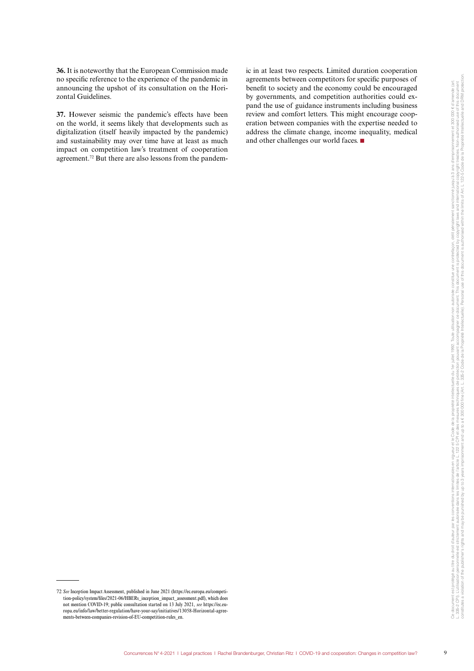**36.** It is noteworthy that the European Commission made no specific reference to the experience of the pandemic in announcing the upshot of its consultation on the Horizontal Guidelines.

**37.** However seismic the pandemic's effects have been on the world, it seems likely that developments such as digitalization (itself heavily impacted by the pandemic) and sustainability may over time have at least as much impact on competition law's treatment of cooperation agreement.72 But there are also lessons from the pandemic in at least two respects. Limited duration cooperation agreements between competitors for specific purposes of benefit to society and the economy could be encouraged by governments, and competition authorities could expand the use of guidance instruments including business review and comfort letters. This might encourage cooperation between companies with the expertise needed to address the climate change, income inequality, medical and other challenges our world faces.  $\blacksquare$ 

<sup>72</sup> *See* Inception Impact Assessment, published in June 2021 (https://ec.europa.eu/competition-policy/system/files/2021-06/HBERs\_inception\_impact\_assessment.pdf), which does not mention COVID-19; public consultation started on 13 July 2021, *see* https://ec.europa.eu/info/law/better-regulation/have-your-say/initiatives/13058-Horizontal-agreements-between-companies-revision-of-EU-competition-rules\_en.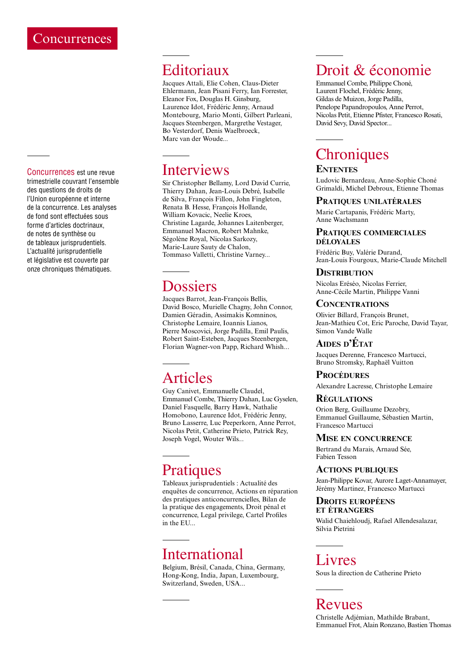#### Concurrences est une revue trimestrielle couvrant l'ensemble des questions de droits de l'Union européenne et interne de la concurrence. Les analyses de fond sont effectuées sous forme d'articles doctrinaux, de notes de synthèse ou de tableaux jurisprudentiels. L'actualité jurisprudentielle et législative est couverte par onze chroniques thématiques.

## Editoriaux

Jacques Attali, Elie Cohen, Claus‑Dieter Ehlermann, Jean Pisani Ferry, Ian Forrester, Eleanor Fox, Douglas H. Ginsburg, Laurence Idot, Frédéric Jenny, Arnaud Montebourg, Mario Monti, Gilbert Parleani, Jacques Steenbergen, Margrethe Vestager, Bo Vesterdorf, Denis Waelbroeck, Marc van der Woude...

### Interviews

Sir Christopher Bellamy, Lord David Currie, Thierry Dahan, Jean-Louis Debré, Isabelle de Silva, François Fillon, John Fingleton, Renata B. Hesse, François Hollande, William Kovacic, Neelie Kroes, Christine Lagarde, Johannes Laitenberger, Emmanuel Macron, Robert Mahnke, Ségolène Royal, Nicolas Sarkozy, Marie‑Laure Sauty de Chalon, Tommaso Valletti, Christine Varney...

# Dossiers

Jacques Barrot, Jean-François Bellis, David Bosco, Murielle Chagny, John Connor, Damien Géradin, Assimakis Komninos, Christophe Lemaire, Ioannis Lianos, Pierre Moscovici, Jorge Padilla, Emil Paulis, Robert Saint-Esteben, Jacques Steenbergen, Florian Wagner-von Papp, Richard Whish...

# Articles

Guy Canivet, Emmanuelle Claudel, Emmanuel Combe, Thierry Dahan, Luc Gyselen, Daniel Fasquelle, Barry Hawk, Nathalie Homobono, Laurence Idot, Frédéric Jenny, Bruno Lasserre, Luc Peeperkorn, Anne Perrot, Nicolas Petit, Catherine Prieto, Patrick Rey, Joseph Vogel, Wouter Wils...

# **Pratiques**

Tableaux jurisprudentiels : Actualité des enquêtes de concurrence, Actions en réparation des pratiques anticoncurrencielles, Bilan de la pratique des engagements, Droit pénal et concurrence, Legal privilege, Cartel Profiles in the EU...

# International

Belgium, Brésil, Canada, China, Germany, Hong‑Kong, India, Japan, Luxembourg, Switzerland, Sweden, USA...

# Droit & économie

Emmanuel Combe, Philippe Choné, Laurent Flochel, Frédéric Jenny, Gildas de Muizon, Jorge Padilla, Penelope Papandropoulos, Anne Perrot, Nicolas Petit, Etienne Pfister, Francesco Rosati, David Sevy, David Spector...

# **Chroniques**

#### **Ententes**

Ludovic Bernardeau, Anne-Sophie Choné Grimaldi, Michel Debroux, Etienne Thomas

### **Pratiques unilatérales**

Marie Cartapanis, Frédéric Marty, Anne Wachsmann

#### **Pratiques commerciales déloyales**

Frédéric Buy, Valérie Durand, Jean‑Louis Fourgoux, Marie‑Claude Mitchell

### **Distribution**

Nicolas Eréséo, Nicolas Ferrier, Anne‑Cécile Martin, Philippe Vanni

#### **Concentrations**

Olivier Billard, François Brunet, Jean‑Mathieu Cot, Eric Paroche, David Tayar, Simon Vande Walle

### **Aides d'État**

Jacques Derenne, Francesco Martucci, Bruno Stromsky, Raphaël Vuitton

#### **PROCÉDURES**

Alexandre Lacresse, Christophe Lemaire

#### **Régulations**

Orion Berg, Guillaume Dezobry, Emmanuel Guillaume, Sébastien Martin, Francesco Martucci

#### **Mise en concurrence**

Bertrand du Marais, Arnaud Sée, Fabien Tesson

#### **Actions publiques**

Jean-Philippe Kovar, Aurore Laget-Annamayer, Jérémy Martinez, Francesco Martucci

#### **Droits européens et étrangers**

Walid Chaiehloudj, Rafael Allendesalazar, Silvia Pietrini

### Livres

Sous la direction de Catherine Prieto

# Revues

Christelle Adjémian, Mathilde Brabant, Emmanuel Frot, Alain Ronzano, Bastien Thomas